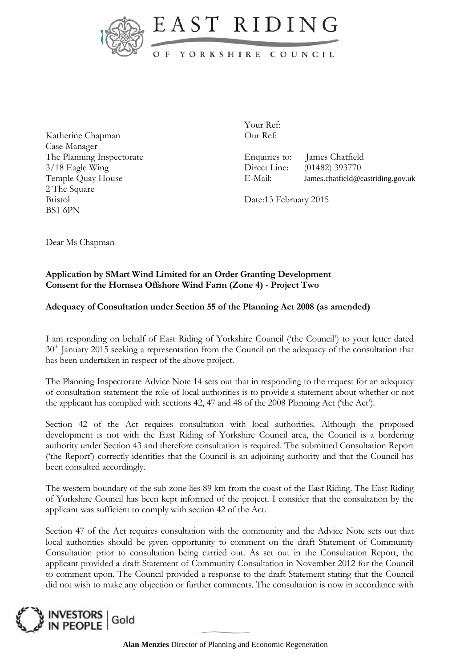



## OF YORKSHIRE COUNCIL

Katherine Chapman Case Manager The Planning Inspectorate 3/18 Eagle Wing Temple Quay House 2 The Square Bristol BS1 6PN

Your Ref: Our Ref:

Enquiries to: James Chatfield Direct Line: (01482) 393770 E-Mail: James.chatfield@eastriding.gov.uk

Date:13 February 2015

Dear Ms Chapman

## **Application by SMart Wind Limited for an Order Granting Development Consent for the Hornsea Offshore Wind Farm (Zone 4) - Project Two**

## **Adequacy of Consultation under Section 55 of the Planning Act 2008 (as amended)**

I am responding on behalf of East Riding of Yorkshire Council ('the Council') to your letter dated 30<sup>th</sup> January 2015 seeking a representation from the Council on the adequacy of the consultation that has been undertaken in respect of the above project.

The Planning Inspectorate Advice Note 14 sets out that in responding to the request for an adequacy of consultation statement the role of local authorities is to provide a statement about whether or not the applicant has complied with sections 42, 47 and 48 of the 2008 Planning Act ('the Act').

Section 42 of the Act requires consultation with local authorities. Although the proposed development is not with the East Riding of Yorkshire Council area, the Council is a bordering authority under Section 43 and therefore consultation is required. The submitted Consultation Report ('the Report') correctly identifies that the Council is an adjoining authority and that the Council has been consulted accordingly.

The western boundary of the sub zone lies 89 km from the coast of the East Riding. The East Riding of Yorkshire Council has been kept informed of the project. I consider that the consultation by the applicant was sufficient to comply with section 42 of the Act.

Section 47 of the Act requires consultation with the community and the Advice Note sets out that local authorities should be given opportunity to comment on the draft Statement of Community Consultation prior to consultation being carried out. As set out in the Consultation Report, the applicant provided a draft Statement of Community Consultation in November 2012 for the Council to comment upon. The Council provided a response to the draft Statement stating that the Council did not wish to make any objection or further comments. The consultation is now in accordance with